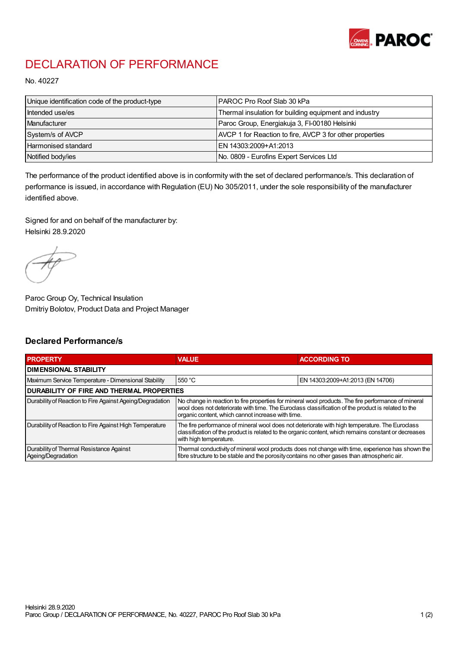

## DECLARATION OF PERFORMANCE

No. 40227

| Unique identification code of the product-type | IPAROC Pro Roof Slab 30 kPa                              |
|------------------------------------------------|----------------------------------------------------------|
| Intended use/es                                | Thermal insulation for building equipment and industry   |
| Manufacturer                                   | Paroc Group, Energiakuja 3, FI-00180 Helsinki            |
| System/s of AVCP                               | AVCP 1 for Reaction to fire, AVCP 3 for other properties |
| Harmonised standard                            | IEN 14303:2009+A1:2013                                   |
| Notified body/ies                              | No. 0809 - Eurofins Expert Services Ltd                  |

The performance of the product identified above is in conformity with the set of declared performance/s. This declaration of performance is issued, in accordance with Regulation (EU) No 305/2011, under the sole responsibility of the manufacturer identified above.

Signed for and on behalf of the manufacturer by: Helsinki 28.9.2020

Paroc Group Oy, Technical Insulation Dmitriy Bolotov, Product Data and Project Manager

## Declared Performance/s

| <b>PROPERTY</b>                                                | <b>VALUE</b>                                                                                                                                                                                                                                                   | <b>ACCORDING TO</b>              |  |
|----------------------------------------------------------------|----------------------------------------------------------------------------------------------------------------------------------------------------------------------------------------------------------------------------------------------------------------|----------------------------------|--|
| <b>DIMENSIONAL STABILITY</b>                                   |                                                                                                                                                                                                                                                                |                                  |  |
| Maximum Service Temperature - Dimensional Stability            | 550 °C                                                                                                                                                                                                                                                         | EN 14303:2009+A1:2013 (EN 14706) |  |
| <b>DURABILITY OF FIRE AND THERMAL PROPERTIES</b>               |                                                                                                                                                                                                                                                                |                                  |  |
| Durability of Reaction to Fire Against Ageing/Degradation      | No change in reaction to fire properties for mineral wool products. The fire performance of mineral<br>wool does not deteriorate with time. The Euroclass classification of the product is related to the<br>organic content, which cannot increase with time. |                                  |  |
| Durability of Reaction to Fire Against High Temperature        | The fire performance of mineral wool does not deteriorate with high temperature. The Euroclass<br>classification of the product is related to the organic content, which remains constant or decreases<br>with high temperature.                               |                                  |  |
| Durability of Thermal Resistance Against<br>Ageing/Degradation | Thermal conductivity of mineral wool products does not change with time, experience has shown the<br>fibre structure to be stable and the porosity contains no other gases than atmospheric air.                                                               |                                  |  |